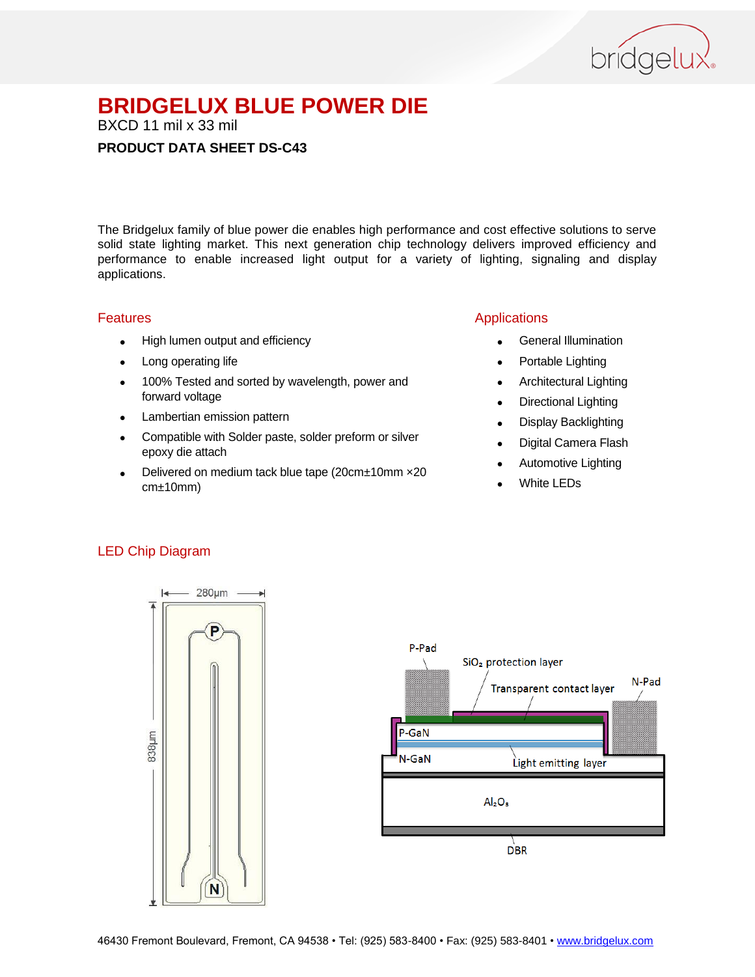

BXCD 11 mil x 33 mil

### **PRODUCT DATA SHEET DS-C43**

The Bridgelux family of blue power die enables high performance and cost effective solutions to serve solid state lighting market. This next generation chip technology delivers improved efficiency and performance to enable increased light output for a variety of lighting, signaling and display applications.

#### Features

- High lumen output and efficiency
- Long operating life
- 100% Tested and sorted by wavelength, power and forward voltage
- Lambertian emission pattern
- Compatible with Solder paste, solder preform or silver epoxy die attach
- Delivered on medium tack blue tape (20cm±10mm ×20 cm±10mm)

### Applications

- General Illumination
- Portable Lighting
- Architectural Lighting
- Directional Lighting
- Display Backlighting
- Digital Camera Flash
- Automotive Lighting
- White LEDs

### LED Chip Diagram



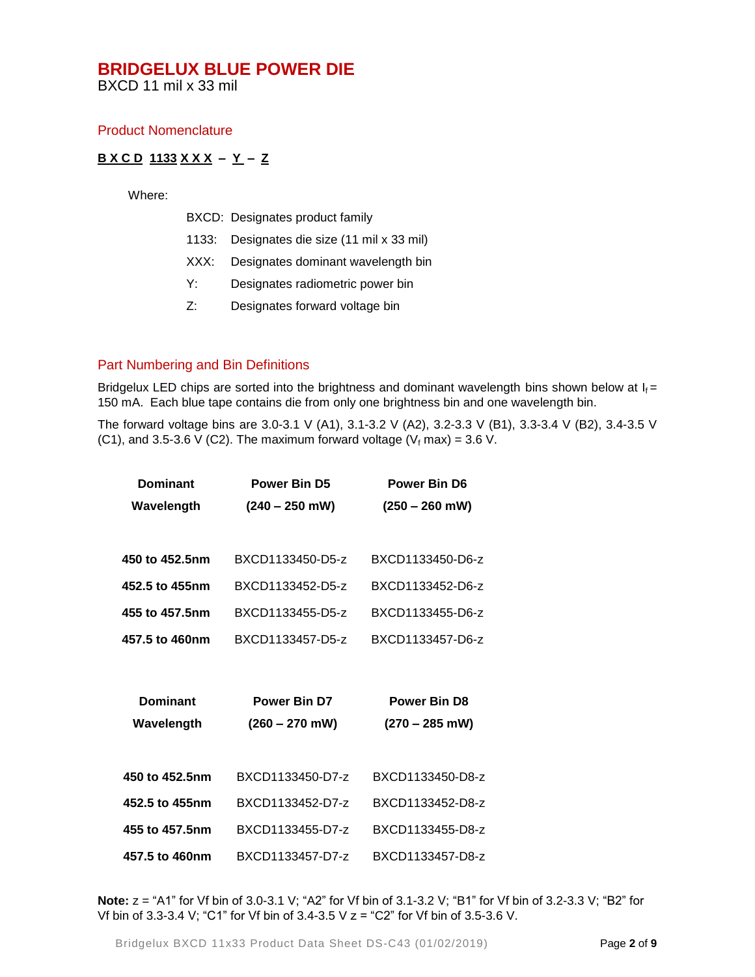BXCD 11 mil x 33 mil

#### Product Nomenclature

### **B X C D 1133 X X X – Y – Z**

Where:

|  | BXCD: Designates product family |  |  |
|--|---------------------------------|--|--|
|--|---------------------------------|--|--|

- 1133: Designates die size (11 mil x 33 mil)
- XXX: Designates dominant wavelength bin
- Y: Designates radiometric power bin
- Z: Designates forward voltage bin

### Part Numbering and Bin Definitions

Bridgelux LED chips are sorted into the brightness and dominant wavelength bins shown below at  $I_f =$ 150 mA. Each blue tape contains die from only one brightness bin and one wavelength bin.

The forward voltage bins are 3.0-3.1 V (A1), 3.1-3.2 V (A2), 3.2-3.3 V (B1), 3.3-3.4 V (B2), 3.4-3.5 V (C1), and 3.5-3.6 V (C2). The maximum forward voltage ( $V_f$  max) = 3.6 V.

| <b>Dominant</b> | <b>Power Bin D5</b> | <b>Power Bin D6</b> |  |
|-----------------|---------------------|---------------------|--|
| Wavelength      | $(240 - 250$ mW)    | $(250 - 260$ mW)    |  |
|                 |                     |                     |  |
| 450 to 452.5nm  | BXCD1133450-D5-z    | BXCD1133450-D6-z    |  |
| 452.5 to 455nm  | BXCD1133452-D5-z    | BXCD1133452-D6-z    |  |
| 455 to 457.5nm  | BXCD1133455-D5-z    | BXCD1133455-D6-z    |  |
| 457.5 to 460nm  | BXCD1133457-D5-z    | BXCD1133457-D6-z    |  |
|                 |                     |                     |  |
|                 |                     |                     |  |
| <b>Dominant</b> | <b>Power Bin D7</b> | <b>Power Bin D8</b> |  |
| Wavelength      | $(260 - 270$ mW)    | $(270 - 285$ mW)    |  |
|                 |                     |                     |  |
| 450 to 452.5nm  | BXCD1133450-D7-z    | BXCD1133450-D8-z    |  |
| 452.5 to 455nm  | BXCD1133452-D7-z    | BXCD1133452-D8-z    |  |
| 455 to 457.5nm  | BXCD1133455-D7-z    | BXCD1133455-D8-z    |  |

**Note:** z = "A1" for Vf bin of 3.0-3.1 V; "A2" for Vf bin of 3.1-3.2 V; "B1" for Vf bin of 3.2-3.3 V; "B2" for Vf bin of 3.3-3.4 V; "C1" for Vf bin of 3.4-3.5 V z = "C2" for Vf bin of 3.5-3.6 V.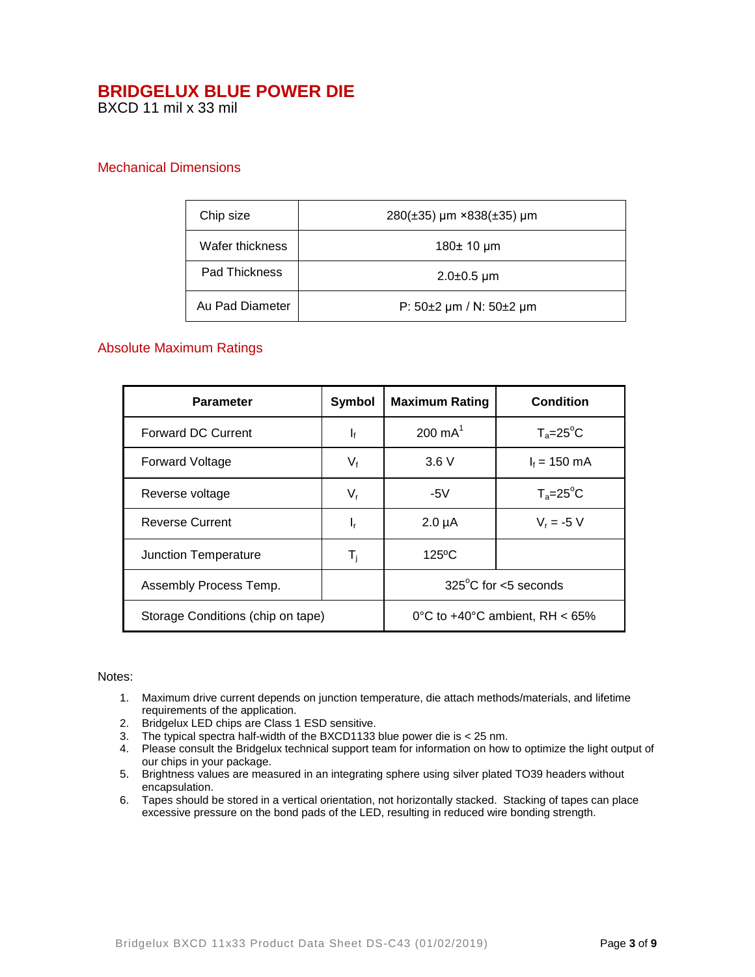BXCD 11 mil x 33 mil

### Mechanical Dimensions

| Chip size       | 280(±35) µm ×838(±35) µm        |  |
|-----------------|---------------------------------|--|
| Wafer thickness | 180± 10 µm                      |  |
| Pad Thickness   | $2.0\pm0.5 \,\mathrm{\mu m}$    |  |
| Au Pad Diameter | P: $50\pm2$ µm / N: $50\pm2$ µm |  |

### Absolute Maximum Ratings

| <b>Parameter</b>                  | <b>Symbol</b>                     | <b>Maximum Rating</b>          | <b>Condition</b>   |
|-----------------------------------|-----------------------------------|--------------------------------|--------------------|
| <b>Forward DC Current</b>         | $\mathbf{I}_{\text{f}}$           | $200 \text{ mA}^1$             | $T_a = 25^\circ C$ |
| <b>Forward Voltage</b>            | $V_{f}$                           | 3.6V                           | $I_f = 150$ mA     |
| Reverse voltage                   | $V_{r}$                           | -5 $V$                         | $T_a = 25^\circ C$ |
| <b>Reverse Current</b>            | ı,                                | $2.0 \mu A$                    | $V_r = -5 V$       |
| <b>Junction Temperature</b>       | $\mathsf{T}_\mathsf{i}$           | $125^{\circ}$ C                |                    |
| Assembly Process Temp.            |                                   | $325^{\circ}$ C for <5 seconds |                    |
| Storage Conditions (chip on tape) | 0°C to $+40$ °C ambient, RH < 65% |                                |                    |

#### Notes:

- 1. Maximum drive current depends on junction temperature, die attach methods/materials, and lifetime requirements of the application.
- 2. Bridgelux LED chips are Class 1 ESD sensitive.
- 3. The typical spectra half-width of the BXCD1133 blue power die is < 25 nm.
- 4. Please consult the Bridgelux technical support team for information on how to optimize the light output of our chips in your package.
- 5. Brightness values are measured in an integrating sphere using silver plated TO39 headers without encapsulation.
- 6. Tapes should be stored in a vertical orientation, not horizontally stacked. Stacking of tapes can place excessive pressure on the bond pads of the LED, resulting in reduced wire bonding strength.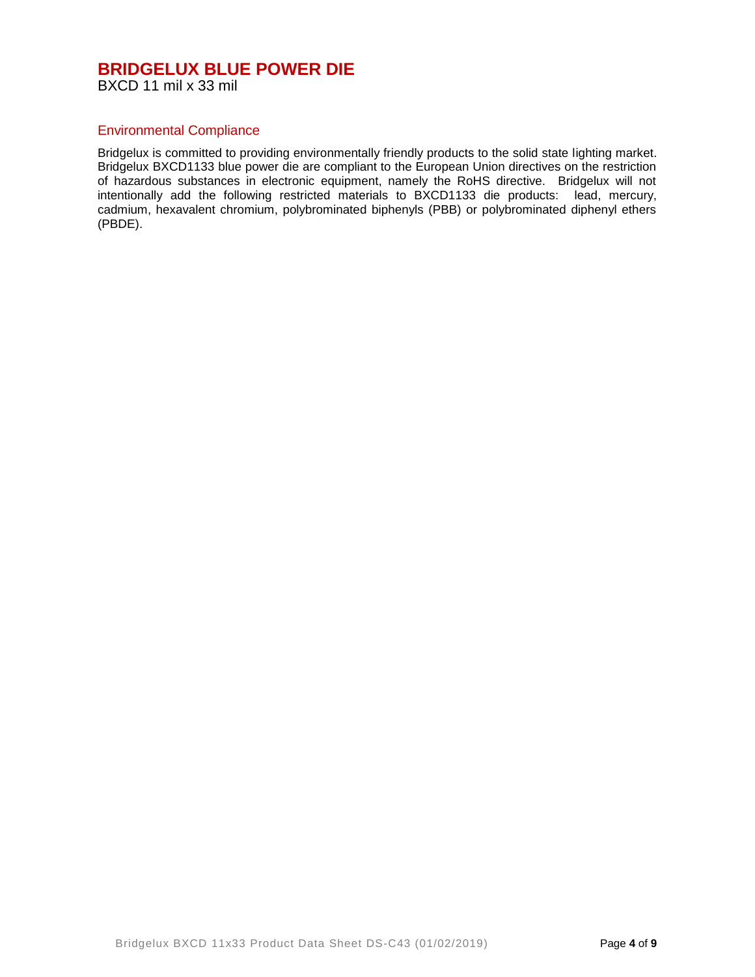BXCD 11 mil x 33 mil

### Environmental Compliance

Bridgelux is committed to providing environmentally friendly products to the solid state lighting market. Bridgelux BXCD1133 blue power die are compliant to the European Union directives on the restriction of hazardous substances in electronic equipment, namely the RoHS directive. Bridgelux will not intentionally add the following restricted materials to BXCD1133 die products: lead, mercury, cadmium, hexavalent chromium, polybrominated biphenyls (PBB) or polybrominated diphenyl ethers (PBDE).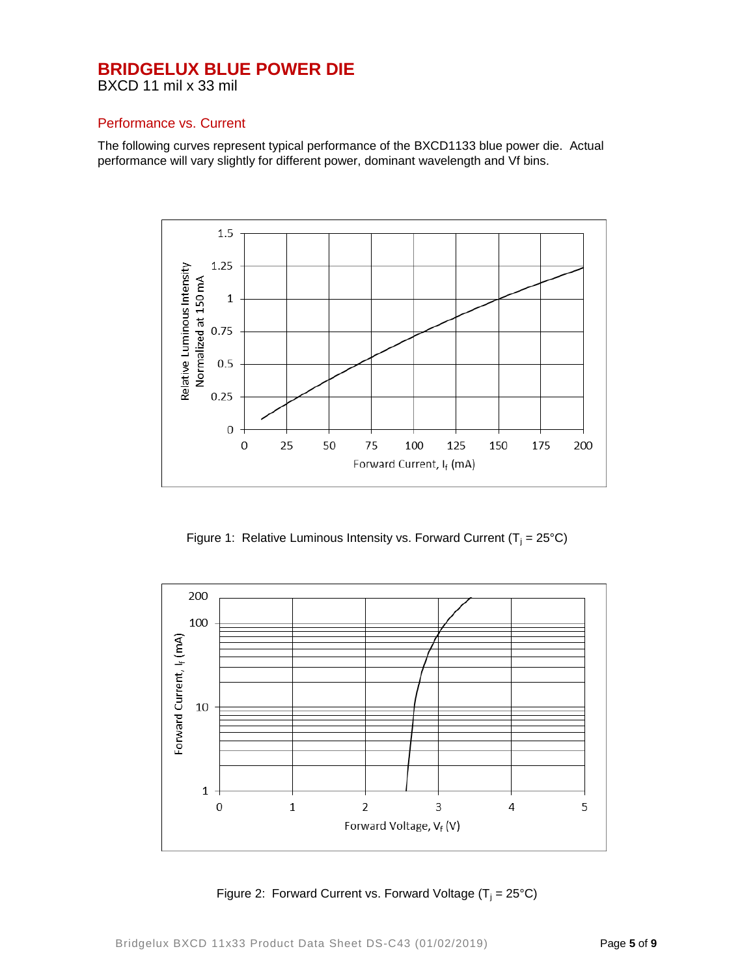BXCD 11 mil x 33 mil

### Performance vs. Current

The following curves represent typical performance of the BXCD1133 blue power die. Actual performance will vary slightly for different power, dominant wavelength and Vf bins.



Figure 1: Relative Luminous Intensity vs. Forward Current ( $T_i = 25^{\circ}C$ )



Figure 2: Forward Current vs. Forward Voltage  $(T_i = 25^{\circ}C)$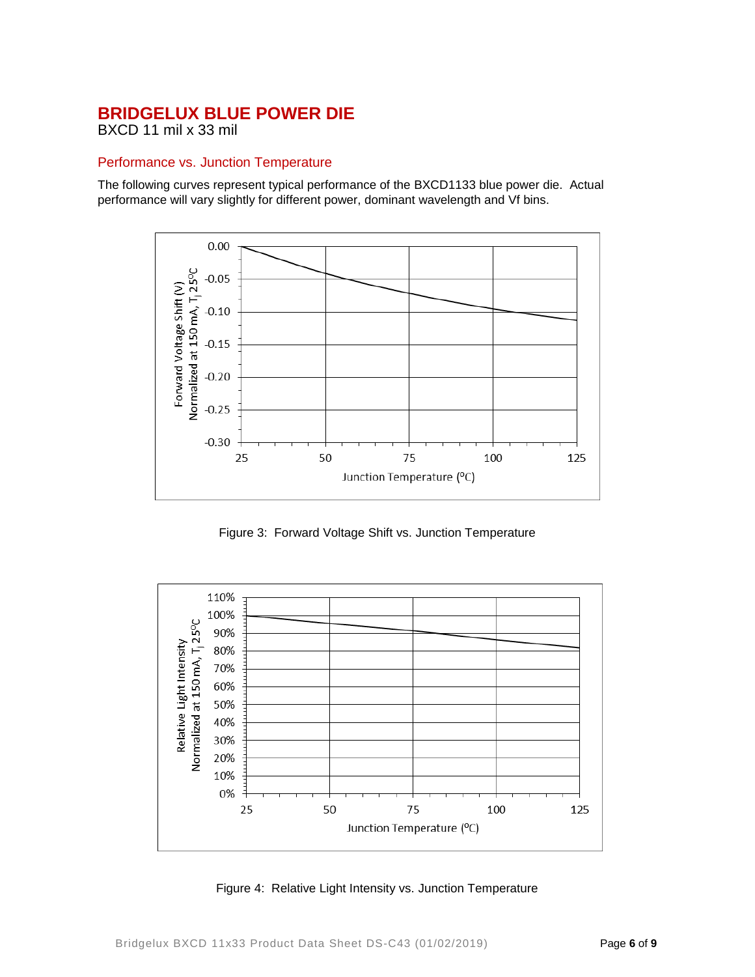BXCD 11 mil x 33 mil

### Performance vs. Junction Temperature

The following curves represent typical performance of the BXCD1133 blue power die. Actual performance will vary slightly for different power, dominant wavelength and Vf bins.



Figure 3: Forward Voltage Shift vs. Junction Temperature



Figure 4: Relative Light Intensity vs. Junction Temperature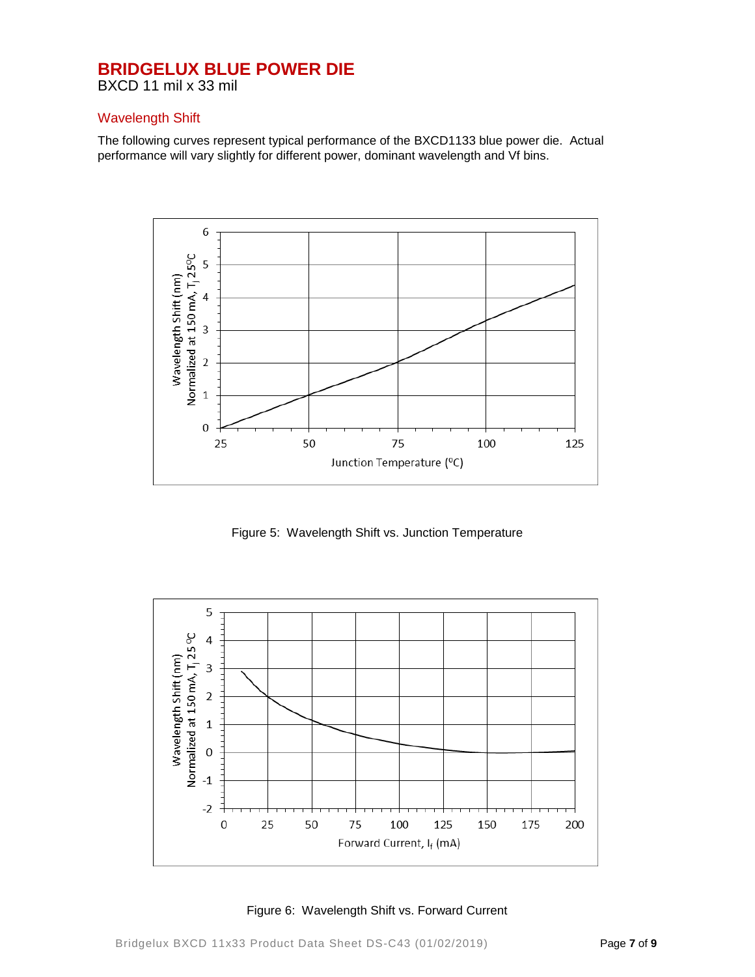BXCD 11 mil x 33 mil

### Wavelength Shift

The following curves represent typical performance of the BXCD1133 blue power die. Actual performance will vary slightly for different power, dominant wavelength and Vf bins.



Figure 5: Wavelength Shift vs. Junction Temperature



Figure 6: Wavelength Shift vs. Forward Current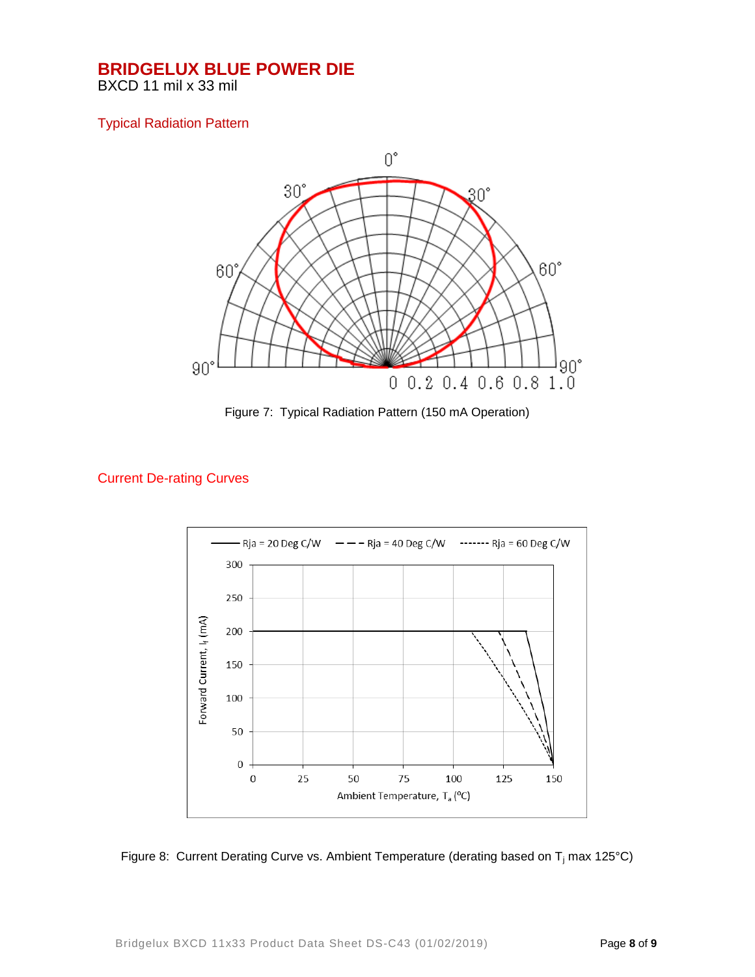BXCD 11 mil x 33 mil

### Typical Radiation Pattern



Figure 7: Typical Radiation Pattern (150 mA Operation)

## Current De-rating Curves